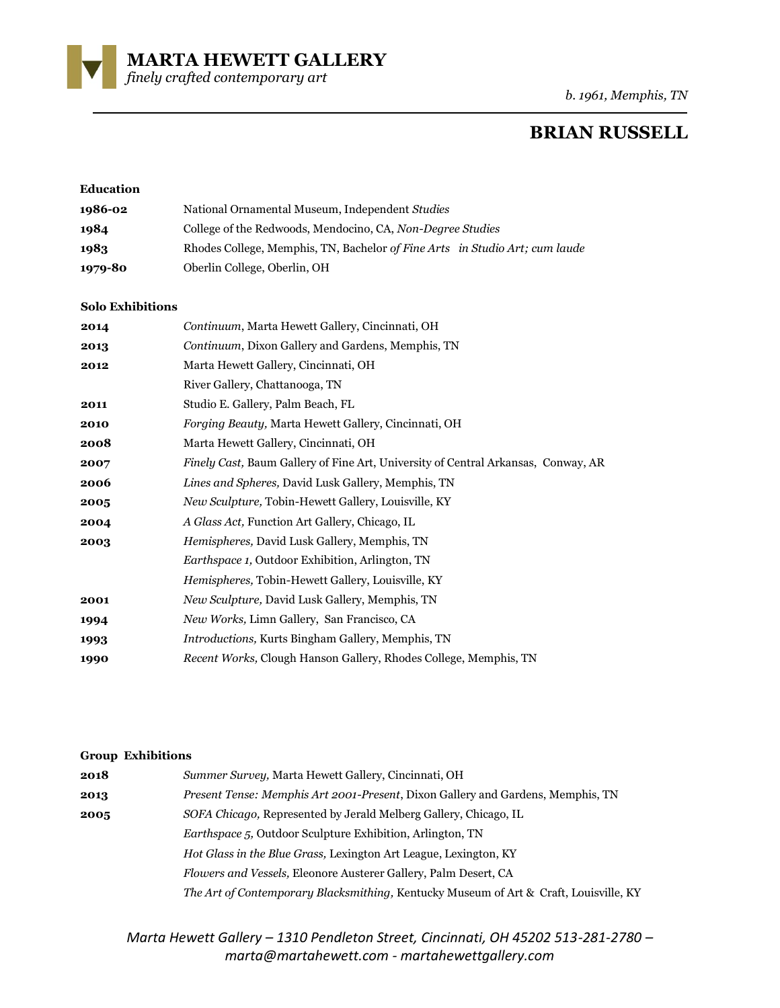**MARTA HEWETT GALLERY** 

*finely crafted contemporary art* 

*b. 1961, Memphis, TN*

# **BRIAN RUSSELL**

| <b>Education</b> |                                                                             |
|------------------|-----------------------------------------------------------------------------|
| 1986-02          | National Ornamental Museum, Independent Studies                             |
| 1984             | College of the Redwoods, Mendocino, CA, Non-Degree Studies                  |
| 1983             | Rhodes College, Memphis, TN, Bachelor of Fine Arts in Studio Art; cum laude |
| 1979-80          | Oberlin College, Oberlin, OH                                                |

#### **Solo Exhibitions**

| 2014 | Continuum, Marta Hewett Gallery, Cincinnati, OH                                           |
|------|-------------------------------------------------------------------------------------------|
| 2013 | Continuum, Dixon Gallery and Gardens, Memphis, TN                                         |
| 2012 | Marta Hewett Gallery, Cincinnati, OH                                                      |
|      | River Gallery, Chattanooga, TN                                                            |
| 2011 | Studio E. Gallery, Palm Beach, FL                                                         |
| 2010 | Forging Beauty, Marta Hewett Gallery, Cincinnati, OH                                      |
| 2008 | Marta Hewett Gallery, Cincinnati, OH                                                      |
| 2007 | <i>Finely Cast</i> , Baum Gallery of Fine Art, University of Central Arkansas, Conway, AR |
| 2006 | Lines and Spheres, David Lusk Gallery, Memphis, TN                                        |
| 2005 | <i>New Sculpture, Tobin-Hewett Gallery, Louisville, KY</i>                                |
| 2004 | A Glass Act, Function Art Gallery, Chicago, IL                                            |
| 2003 | Hemispheres, David Lusk Gallery, Memphis, TN                                              |
|      | <i>Earthspace 1, Outdoor Exhibition, Arlington, TN</i>                                    |
|      | <i>Hemispheres, Tobin-Hewett Gallery, Louisville, KY</i>                                  |
| 2001 | New Sculpture, David Lusk Gallery, Memphis, TN                                            |
| 1994 | New Works, Limn Gallery, San Francisco, CA                                                |
| 1993 | <i>Introductions, Kurts Bingham Gallery, Memphis, TN</i>                                  |
| 1990 | <i>Recent Works, Clough Hanson Gallery, Rhodes College, Memphis, TN</i>                   |

#### **Group Exhibitions**

| 2018 | Summer Survey, Marta Hewett Gallery, Cincinnati, OH                                    |
|------|----------------------------------------------------------------------------------------|
| 2013 | <i>Present Tense: Memphis Art 2001-Present, Dixon Gallery and Gardens, Memphis, TN</i> |
| 2005 | SOFA Chicago, Represented by Jerald Melberg Gallery, Chicago, IL                       |
|      | <i>Earthspace 5</i> , Outdoor Sculpture Exhibition, Arlington, TN                      |
|      | Hot Glass in the Blue Grass, Lexington Art League, Lexington, KY                       |
|      | <i>Flowers and Vessels, Eleonore Austerer Gallery, Palm Desert, CA</i>                 |
|      | The Art of Contemporary Blacksmithing, Kentucky Museum of Art & Craft, Louisville, KY  |

*Marta Hewett Gallery – 1310 Pendleton Street, Cincinnati, OH 45202 513-281-2780 – marta@martahewett.com - martahewettgallery.com*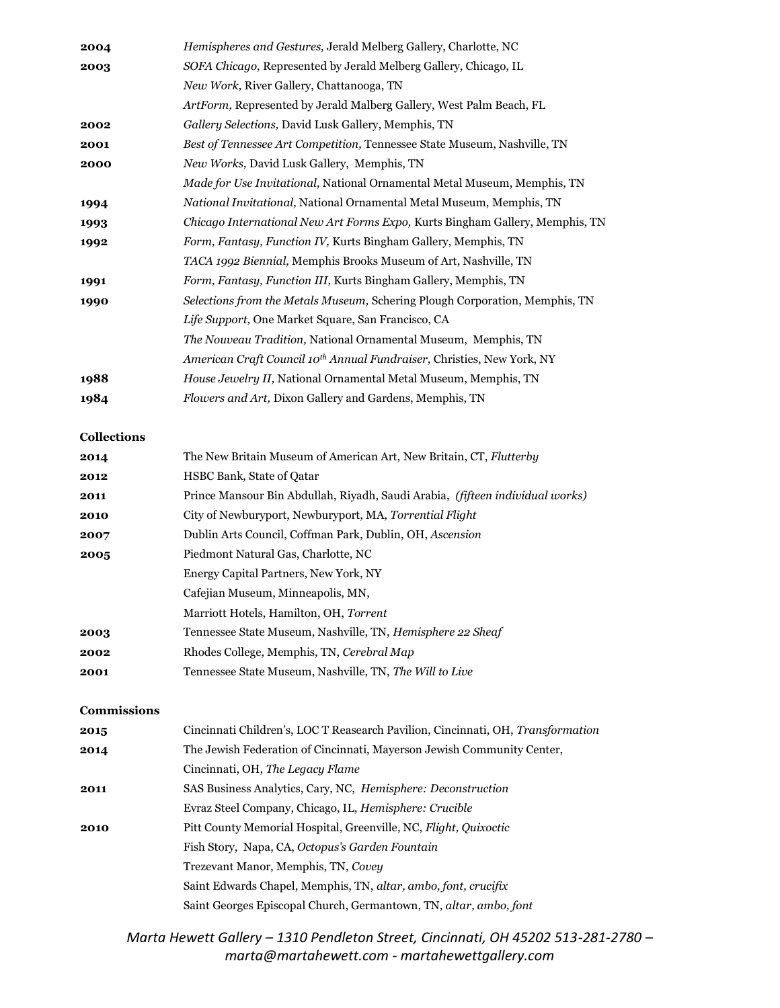| 2004 | Hemispheres and Gestures, Jerald Melberg Gallery, Charlotte, NC                    |
|------|------------------------------------------------------------------------------------|
| 2003 | SOFA Chicago, Represented by Jerald Melberg Gallery, Chicago, IL                   |
|      | New Work, River Gallery, Chattanooga, TN                                           |
|      | ArtForm, Represented by Jerald Malberg Gallery, West Palm Beach, FL                |
| 2002 | Gallery Selections, David Lusk Gallery, Memphis, TN                                |
| 2001 | Best of Tennessee Art Competition, Tennessee State Museum, Nashville, TN           |
| 2000 | New Works, David Lusk Gallery, Memphis, TN                                         |
|      | Made for Use Invitational, National Ornamental Metal Museum, Memphis, TN           |
| 1994 | <i>National Invitational, National Ornamental Metal Museum, Memphis, TN</i>        |
| 1993 | Chicago International New Art Forms Expo, Kurts Bingham Gallery, Memphis, TN       |
| 1992 | Form, Fantasy, Function IV, Kurts Bingham Gallery, Memphis, TN                     |
|      | TACA 1992 Biennial, Memphis Brooks Museum of Art, Nashville, TN                    |
| 1991 | Form, Fantasy, Function III, Kurts Bingham Gallery, Memphis, TN                    |
| 1990 | Selections from the Metals Museum, Schering Plough Corporation, Memphis, TN        |
|      | Life Support, One Market Square, San Francisco, CA                                 |
|      | The Nouveau Tradition, National Ornamental Museum, Memphis, TN                     |
|      | American Craft Council 10 <sup>th</sup> Annual Fundraiser, Christies, New York, NY |
| 1988 | House Jewelry II, National Ornamental Metal Museum, Memphis, TN                    |
| 1984 | <i>Flowers and Art, Dixon Gallery and Gardens, Memphis, TN</i>                     |
|      |                                                                                    |

## **Collections**

| 2014 | The New Britain Museum of American Art, New Britain, CT, Flutterby            |
|------|-------------------------------------------------------------------------------|
| 2012 | <b>HSBC Bank, State of Oatar</b>                                              |
| 2011 | Prince Mansour Bin Abdullah, Riyadh, Saudi Arabia, (fifteen individual works) |
| 2010 | City of Newburyport, Newburyport, MA, Torrential Flight                       |
| 2007 | Dublin Arts Council, Coffman Park, Dublin, OH, Ascension                      |
| 2005 | Piedmont Natural Gas, Charlotte, NC                                           |
|      | Energy Capital Partners, New York, NY                                         |
|      | Cafejian Museum, Minneapolis, MN,                                             |
|      | Marriott Hotels, Hamilton, OH, Torrent                                        |
| 2003 | Tennessee State Museum, Nashville, TN, Hemisphere 22 Sheaf                    |
| 2002 | Rhodes College, Memphis, TN, Cerebral Map                                     |
| 2001 | Tennessee State Museum, Nashville, TN, The Will to Live                       |

#### **Commissions**

| 2015 | Cincinnati Children's, LOC T Reasearch Pavilion, Cincinnati, OH, Transformation |
|------|---------------------------------------------------------------------------------|
| 2014 | The Jewish Federation of Cincinnati, Mayerson Jewish Community Center,          |
|      | Cincinnati, OH, The Legacy Flame                                                |
| 2011 | SAS Business Analytics, Cary, NC, Hemisphere: Deconstruction                    |
|      | Evraz Steel Company, Chicago, IL, Hemisphere: Crucible                          |
| 2010 | Pitt County Memorial Hospital, Greenville, NC, Flight, Quixoctic                |
|      | Fish Story, Napa, CA, Octopus's Garden Fountain                                 |
|      | Trezevant Manor, Memphis, TN, Covey                                             |
|      | Saint Edwards Chapel, Memphis, TN, altar, ambo, font, crucifix                  |
|      | Saint Georges Episcopal Church, Germantown, TN, altar, ambo, font               |

*Marta Hewett Gallery – 1310 Pendleton Street, Cincinnati, OH 45202 513-281-2780 – marta@martahewett.com - martahewettgallery.com*